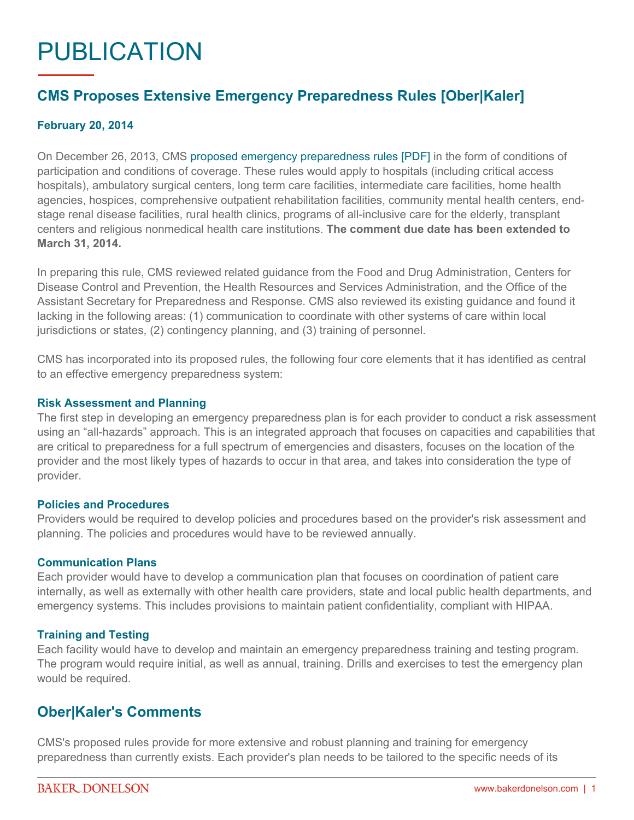# PUBLICATION

## **CMS Proposes Extensive Emergency Preparedness Rules [Ober|Kaler]**

#### **February 20, 2014**

On December 26, 2013, CMS [proposed emergency preparedness rules \[PDF\]](http://www.gpo.gov/fdsys/pkg/FR-2013-12-27/pdf/2013-30724.pdf) in the form of conditions of participation and conditions of coverage. These rules would apply to hospitals (including critical access hospitals), ambulatory surgical centers, long term care facilities, intermediate care facilities, home health agencies, hospices, comprehensive outpatient rehabilitation facilities, community mental health centers, endstage renal disease facilities, rural health clinics, programs of all-inclusive care for the elderly, transplant centers and religious nonmedical health care institutions. **The comment due date has been extended to March 31, 2014.**

In preparing this rule, CMS reviewed related guidance from the Food and Drug Administration, Centers for Disease Control and Prevention, the Health Resources and Services Administration, and the Office of the Assistant Secretary for Preparedness and Response. CMS also reviewed its existing guidance and found it lacking in the following areas: (1) communication to coordinate with other systems of care within local jurisdictions or states, (2) contingency planning, and (3) training of personnel.

CMS has incorporated into its proposed rules, the following four core elements that it has identified as central to an effective emergency preparedness system:

#### **Risk Assessment and Planning**

The first step in developing an emergency preparedness plan is for each provider to conduct a risk assessment using an "all-hazards" approach. This is an integrated approach that focuses on capacities and capabilities that are critical to preparedness for a full spectrum of emergencies and disasters, focuses on the location of the provider and the most likely types of hazards to occur in that area, and takes into consideration the type of provider.

#### **Policies and Procedures**

Providers would be required to develop policies and procedures based on the provider's risk assessment and planning. The policies and procedures would have to be reviewed annually.

#### **Communication Plans**

Each provider would have to develop a communication plan that focuses on coordination of patient care internally, as well as externally with other health care providers, state and local public health departments, and emergency systems. This includes provisions to maintain patient confidentiality, compliant with HIPAA.

#### **Training and Testing**

Each facility would have to develop and maintain an emergency preparedness training and testing program. The program would require initial, as well as annual, training. Drills and exercises to test the emergency plan would be required.

### **Ober|Kaler's Comments**

CMS's proposed rules provide for more extensive and robust planning and training for emergency preparedness than currently exists. Each provider's plan needs to be tailored to the specific needs of its